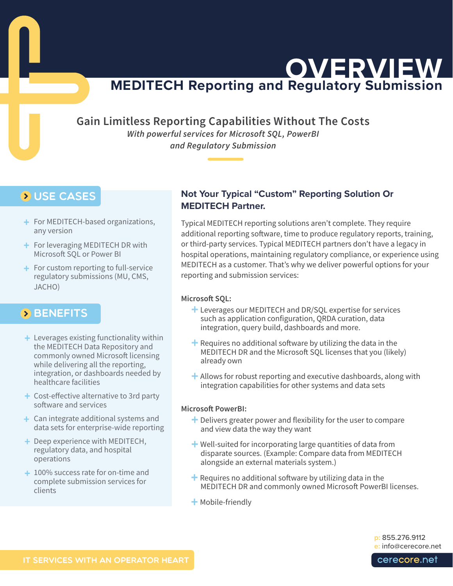**MEDITECH Reporting and Regulatory Submission OVERVIEW**

**Gain Limitless Reporting Capabilities Without The Costs** 

*With powerful services for Microsoft SQL, PowerBI and Regulatory Submission* 

# **D** USE CASES

- + For MEDITECH-based organizations, any version
- + For leveraging MEDITECH DR with Microsoft SQL or Power BI
- + For custom reporting to full-service regulatory submissions (MU, CMS, JACHO)

## **BENEFITS**

- + Leverages existing functionality within the MEDITECH Data Repository and commonly owned Microsoft licensing while delivering all the reporting, integration, or dashboards needed by healthcare facilities
- Cost-effective alternative to 3rd party +software and services
- Can integrate additional systems and + data sets for enterprise-wide reporting
- + Deep experience with MEDITECH, regulatory data, and hospital operations
- + 100% success rate for on-time and complete submission services for clients

## **Not Your Typical "Custom" Reporting Solution Or MEDITECH Partner.**

Typical MEDITECH reporting solutions aren't complete. They require additional reporting software, time to produce regulatory reports, training, or third-party services. Typical MEDITECH partners don't have a legacy in hospital operations, maintaining regulatory compliance, or experience using MEDITECH as a customer. That's why we deliver powerful options for your reporting and submission services:

### **Microsoft SQL:**

- + Leverages our MEDITECH and DR/SQL expertise for services such as application configuration, QRDA curation, data integration, query build, dashboards and more.
- $+$  Requires no additional software by utilizing the data in the MEDITECH DR and the Microsoft SQL licenses that you (likely) already own
- $+$  Allows for robust reporting and executive dashboards, along with integration capabilities for other systems and data sets

### **Microsoft PowerBI:**

- + Delivers greater power and flexibility for the user to compare and view data the way they want
- + Well-suited for incorporating large quantities of data from disparate sources. (Example: Compare data from MEDITECH alongside an external materials system.)
- + Requires no additional software by utilizing data in the MEDITECH DR and commonly owned Microsoft PowerBI licenses.
- + Mobile-friendly

**p:** 855.276.9112 **e:** [info@cerecore.net](mailto:info%40cerecore.net?subject=)

cerecore.net